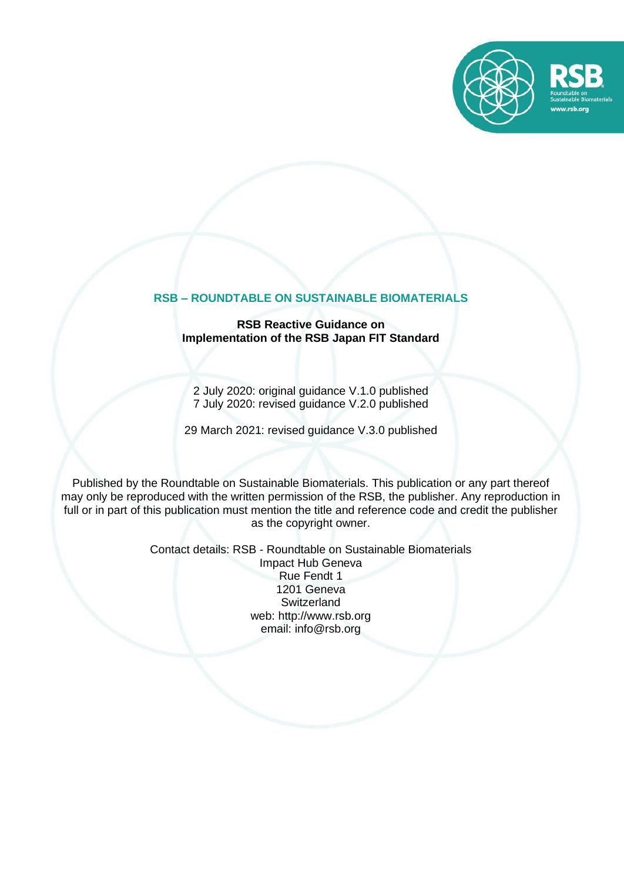

## **RSB – ROUNDTABLE ON SUSTAINABLE BIOMATERIALS**

#### **RSB Reactive Guidance on Implementation of the RSB Japan FIT Standard**

2 July 2020: original guidance V.1.0 published 7 July 2020: revised guidance V.2.0 published

29 March 2021: revised guidance V.3.0 published

Published by the Roundtable on Sustainable Biomaterials. This publication or any part thereof may only be reproduced with the written permission of the RSB, the publisher. Any reproduction in full or in part of this publication must mention the title and reference code and credit the publisher as the copyright owner.

> Contact details: RSB - Roundtable on Sustainable Biomaterials Impact Hub Geneva Rue Fendt 1 1201 Geneva **Switzerland** web: [http://www.rsb.org](http://www.rsb.org/) email: info@rsb.org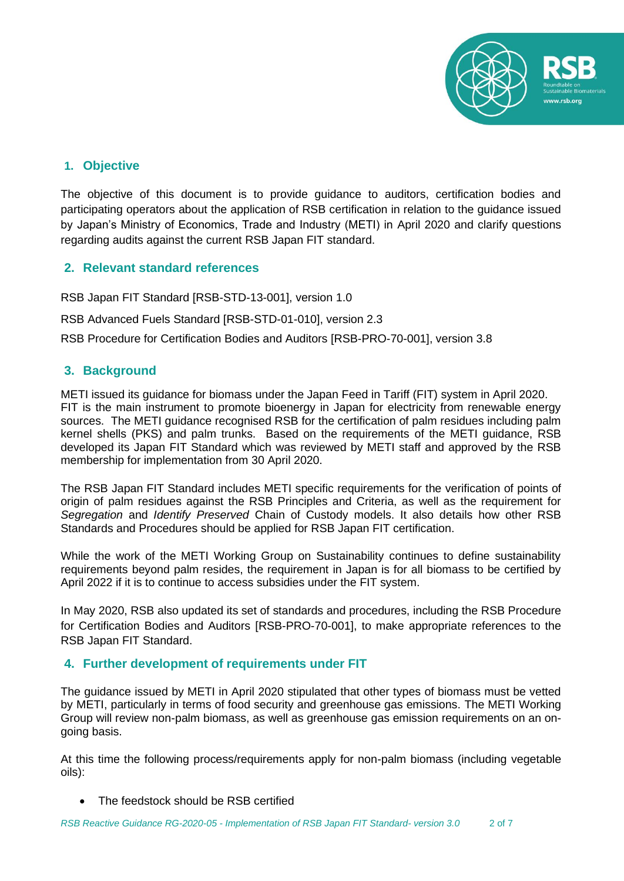

# **1. Objective**

The objective of this document is to provide guidance to auditors, certification bodies and participating operators about the application of RSB certification in relation to the guidance issued by Japan's Ministry of Economics, Trade and Industry (METI) in April 2020 and clarify questions regarding audits against the current RSB Japan FIT standard.

# **2. Relevant standard references**

RSB Japan FIT Standard [RSB-STD-13-001], version 1.0

RSB Advanced Fuels Standard [RSB-STD-01-010], version 2.3

RSB Procedure for Certification Bodies and Auditors [RSB-PRO-70-001], version 3.8

# **3. Background**

METI issued its guidance for biomass under the Japan Feed in Tariff (FIT) system in April 2020. FIT is the main instrument to promote bioenergy in Japan for electricity from renewable energy sources. The METI guidance recognised RSB for the certification of palm residues including palm kernel shells (PKS) and palm trunks. Based on the requirements of the METI guidance, RSB developed its Japan FIT Standard which was reviewed by METI staff and approved by the RSB membership for implementation from 30 April 2020.

The RSB Japan FIT Standard includes METI specific requirements for the verification of points of origin of palm residues against the RSB Principles and Criteria, as well as the requirement for *Segregation* and *Identify Preserved* Chain of Custody models. It also details how other RSB Standards and Procedures should be applied for RSB Japan FIT certification.

While the work of the METI Working Group on Sustainability continues to define sustainability requirements beyond palm resides, the requirement in Japan is for all biomass to be certified by April 2022 if it is to continue to access subsidies under the FIT system.

In May 2020, RSB also updated its set of standards and procedures, including the RSB Procedure for Certification Bodies and Auditors [RSB-PRO-70-001], to make appropriate references to the RSB Japan FIT Standard.

# **4. Further development of requirements under FIT**

The guidance issued by METI in April 2020 stipulated that other types of biomass must be vetted by METI, particularly in terms of food security and greenhouse gas emissions. The METI Working Group will review non-palm biomass, as well as greenhouse gas emission requirements on an ongoing basis.

At this time the following process/requirements apply for non-palm biomass (including vegetable oils):

• The feedstock should be RSB certified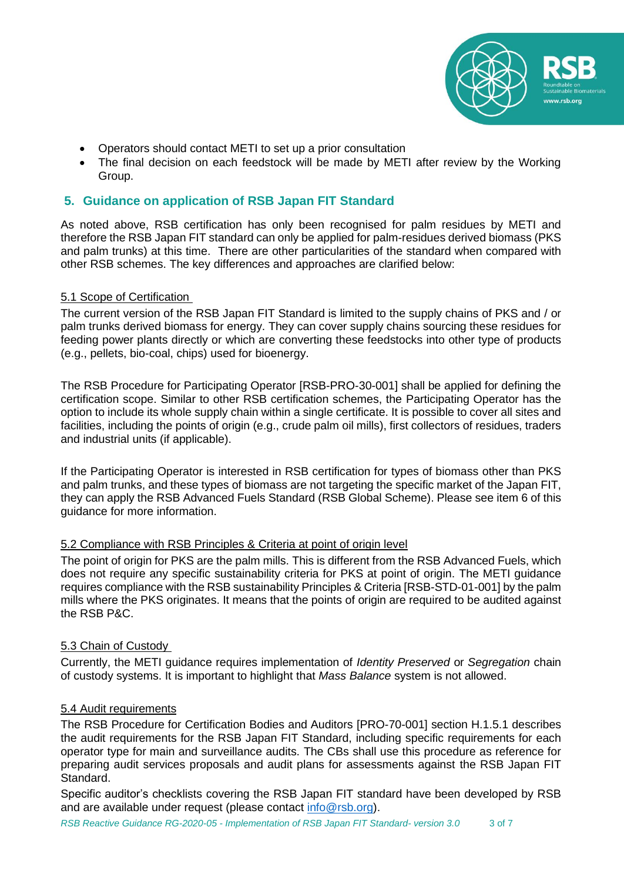

- Operators should contact METI to set up a prior consultation
- The final decision on each feedstock will be made by METI after review by the Working Group.

## **5. Guidance on application of RSB Japan FIT Standard**

As noted above, RSB certification has only been recognised for palm residues by METI and therefore the RSB Japan FIT standard can only be applied for palm-residues derived biomass (PKS and palm trunks) at this time. There are other particularities of the standard when compared with other RSB schemes. The key differences and approaches are clarified below:

### 5.1 Scope of Certification

The current version of the RSB Japan FIT Standard is limited to the supply chains of PKS and / or palm trunks derived biomass for energy. They can cover supply chains sourcing these residues for feeding power plants directly or which are converting these feedstocks into other type of products (e.g., pellets, bio-coal, chips) used for bioenergy.

The RSB Procedure for Participating Operator [RSB-PRO-30-001] shall be applied for defining the certification scope. Similar to other RSB certification schemes, the Participating Operator has the option to include its whole supply chain within a single certificate. It is possible to cover all sites and facilities, including the points of origin (e.g., crude palm oil mills), first collectors of residues, traders and industrial units (if applicable).

If the Participating Operator is interested in RSB certification for types of biomass other than PKS and palm trunks, and these types of biomass are not targeting the specific market of the Japan FIT, they can apply the RSB Advanced Fuels Standard (RSB Global Scheme). Please see item 6 of this guidance for more information.

### 5.2 Compliance with RSB Principles & Criteria at point of origin level

The point of origin for PKS are the palm mills. This is different from the RSB Advanced Fuels, which does not require any specific sustainability criteria for PKS at point of origin. The METI guidance requires compliance with the RSB sustainability Principles & Criteria [RSB-STD-01-001] by the palm mills where the PKS originates. It means that the points of origin are required to be audited against the RSB P&C.

### 5.3 Chain of Custody

Currently, the METI guidance requires implementation of *Identity Preserved* or *Segregation* chain of custody systems. It is important to highlight that *Mass Balance* system is not allowed.

#### 5.4 Audit requirements

The RSB Procedure for Certification Bodies and Auditors [PRO-70-001] section H.1.5.1 describes the audit requirements for the RSB Japan FIT Standard, including specific requirements for each operator type for main and surveillance audits. The CBs shall use this procedure as reference for preparing audit services proposals and audit plans for assessments against the RSB Japan FIT Standard.

Specific auditor's checklists covering the RSB Japan FIT standard have been developed by RSB and are available under request (please contact [info@rsb.org\)](mailto:info@rsb.org).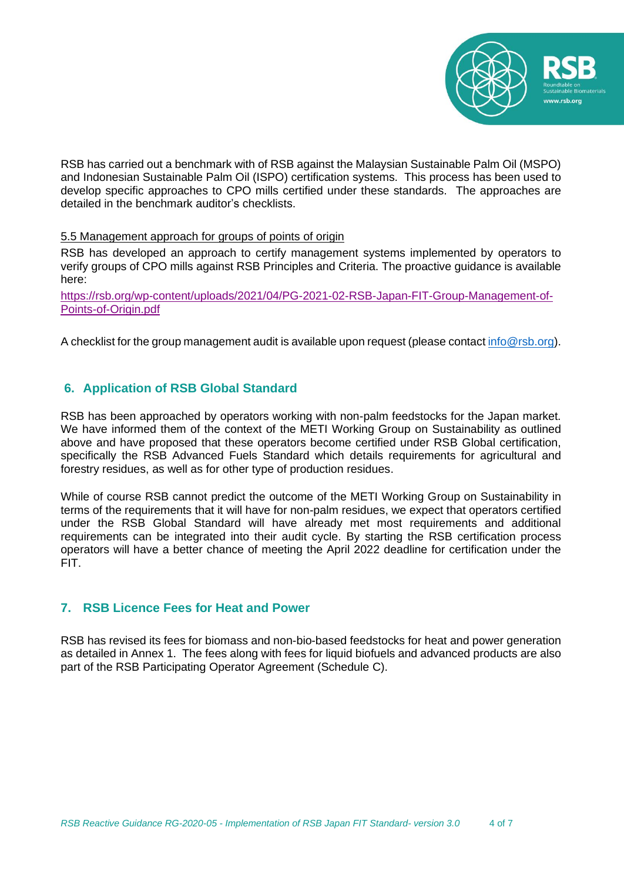

RSB has carried out a benchmark with of RSB against the Malaysian Sustainable Palm Oil (MSPO) and Indonesian Sustainable Palm Oil (ISPO) certification systems. This process has been used to develop specific approaches to CPO mills certified under these standards. The approaches are detailed in the benchmark auditor's checklists.

#### 5.5 Management approach for groups of points of origin

RSB has developed an approach to certify management systems implemented by operators to verify groups of CPO mills against RSB Principles and Criteria. The proactive guidance is available here:

[https://rsb.org/wp-content/uploads/2021/04/PG-2021-02-RSB-Japan-FIT-Group-Management-of-](https://rsb.org/wp-content/uploads/2021/04/PG-2021-02-RSB-Japan-FIT-Group-Management-of-Points-of-Origin.pdf)[Points-of-Origin.pdf](https://rsb.org/wp-content/uploads/2021/04/PG-2021-02-RSB-Japan-FIT-Group-Management-of-Points-of-Origin.pdf)

A checklist for the group management audit is available upon request (please contact [info@rsb.org\)](mailto:info@rsb.org).

# **6. Application of RSB Global Standard**

RSB has been approached by operators working with non-palm feedstocks for the Japan market. We have informed them of the context of the METI Working Group on Sustainability as outlined above and have proposed that these operators become certified under RSB Global certification, specifically the RSB Advanced Fuels Standard which details requirements for agricultural and forestry residues, as well as for other type of production residues.

While of course RSB cannot predict the outcome of the METI Working Group on Sustainability in terms of the requirements that it will have for non-palm residues, we expect that operators certified under the RSB Global Standard will have already met most requirements and additional requirements can be integrated into their audit cycle. By starting the RSB certification process operators will have a better chance of meeting the April 2022 deadline for certification under the FIT.

# **7. RSB Licence Fees for Heat and Power**

RSB has revised its fees for biomass and non-bio-based feedstocks for heat and power generation as detailed in Annex 1. The fees along with fees for liquid biofuels and advanced products are also part of the RSB Participating Operator Agreement (Schedule C).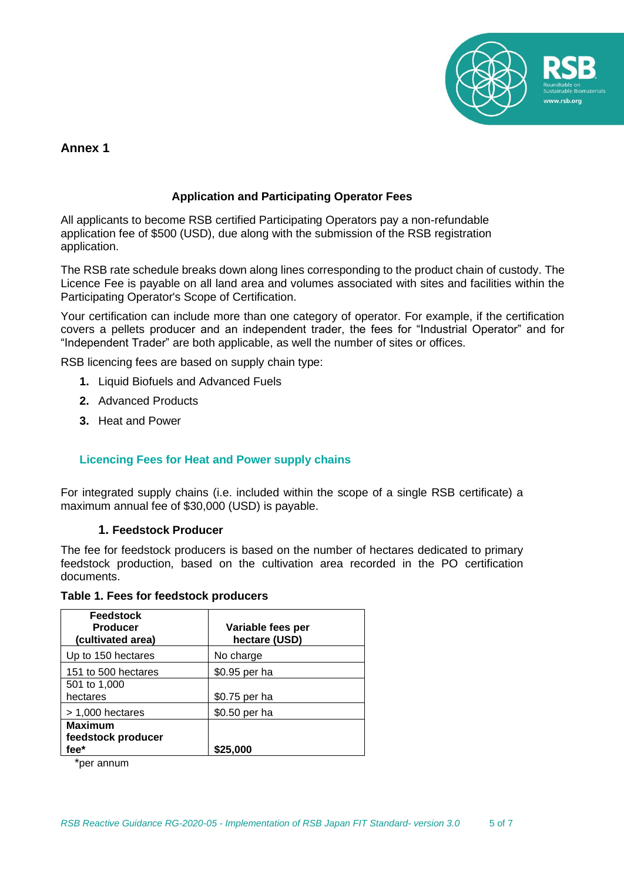

# **Annex 1**

### **Application and Participating Operator Fees**

All applicants to become RSB certified Participating Operators pay a non-refundable application fee of \$500 (USD), due along with the submission of the RSB registration application.

The RSB rate schedule breaks down along lines corresponding to the product chain of custody. The Licence Fee is payable on all land area and volumes associated with sites and facilities within the Participating Operator's Scope of Certification.

Your certification can include more than one category of operator. For example, if the certification covers a pellets producer and an independent trader, the fees for "Industrial Operator" and for "Independent Trader" are both applicable, as well the number of sites or offices.

RSB licencing fees are based on supply chain type:

- **1.** Liquid Biofuels and Advanced Fuels
- **2.** Advanced Products
- **3.** Heat and Power

#### **Licencing Fees for Heat and Power supply chains**

For integrated supply chains (i.e. included within the scope of a single RSB certificate) a maximum annual fee of \$30,000 (USD) is payable.

#### **1. Feedstock Producer**

The fee for feedstock producers is based on the number of hectares dedicated to primary feedstock production, based on the cultivation area recorded in the PO certification documents.

**Table 1. Fees for feedstock producers**

| <b>Feedstock</b><br><b>Producer</b><br>(cultivated area) | Variable fees per<br>hectare (USD) |
|----------------------------------------------------------|------------------------------------|
| Up to 150 hectares                                       | No charge                          |
| 151 to 500 hectares                                      | \$0.95 per ha                      |
| 501 to 1,000<br>hectares                                 | \$0.75 per ha                      |
| $> 1,000$ hectares                                       | \$0.50 per ha                      |
| <b>Maximum</b><br>feedstock producer<br>fee*             | \$25,000                           |

\*per annum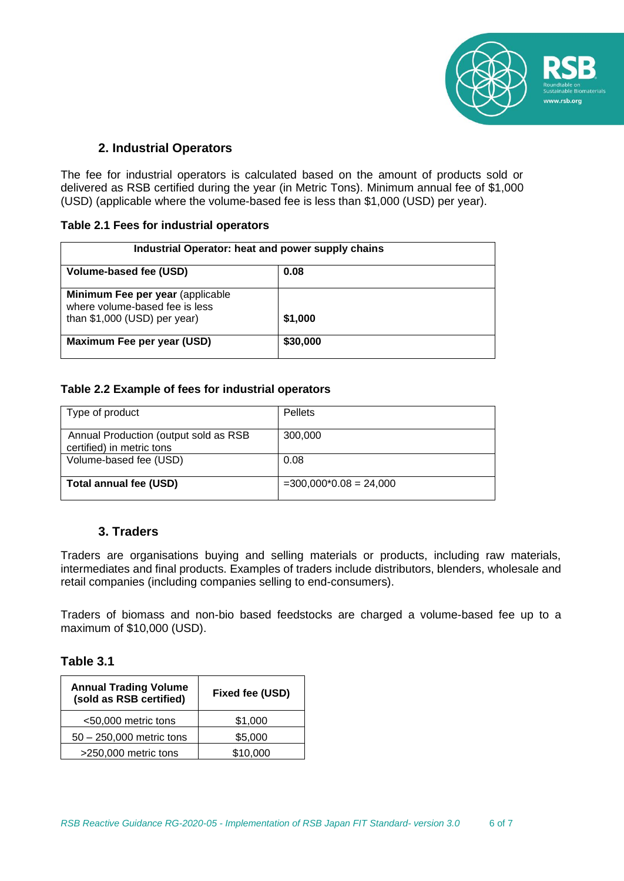

# **2. Industrial Operators**

The fee for industrial operators is calculated based on the amount of products sold or delivered as RSB certified during the year (in Metric Tons). Minimum annual fee of \$1,000 (USD) (applicable where the volume-based fee is less than \$1,000 (USD) per year).

#### **Table 2.1 Fees for industrial operators**

| Industrial Operator: heat and power supply chains                                                   |          |  |
|-----------------------------------------------------------------------------------------------------|----------|--|
| Volume-based fee (USD)                                                                              | 0.08     |  |
| Minimum Fee per year (applicable<br>where volume-based fee is less<br>than $$1,000$ (USD) per year) | \$1,000  |  |
| Maximum Fee per year (USD)                                                                          | \$30,000 |  |

### **Table 2.2 Example of fees for industrial operators**

| Type of product                                                    | <b>Pellets</b>           |
|--------------------------------------------------------------------|--------------------------|
| Annual Production (output sold as RSB<br>certified) in metric tons | 300,000                  |
| Volume-based fee (USD)                                             | 0.08                     |
| Total annual fee (USD)                                             | $=300,000*0.08 = 24,000$ |

## **3. Traders**

Traders are organisations buying and selling materials or products, including raw materials, intermediates and final products. Examples of traders include distributors, blenders, wholesale and retail companies (including companies selling to end-consumers).

Traders of biomass and non-bio based feedstocks are charged a volume-based fee up to a maximum of \$10,000 (USD).

## **Table 3.1**

| <b>Annual Trading Volume</b><br>(sold as RSB certified) | Fixed fee (USD) |
|---------------------------------------------------------|-----------------|
| <50,000 metric tons                                     | \$1,000         |
| $50 - 250,000$ metric tons                              | \$5,000         |
| >250,000 metric tons                                    | \$10,000        |